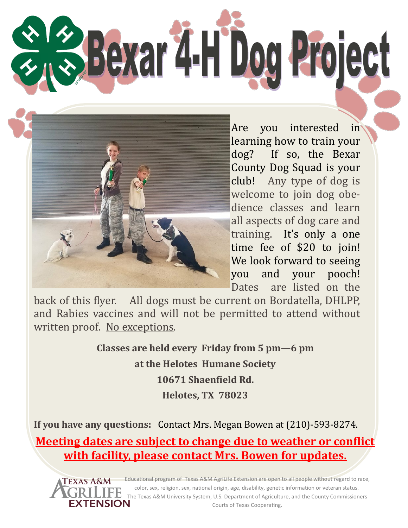**Bexar 4-H Dog Project** 



Are you interested in learning how to train your dog? If so, the Bexar County Dog Squad is your club! Any type of dog is welcome to join dog obedience classes and learn all aspects of dog care and training. It's only a one time fee of \$20 to join! We look forward to seeing you and your pooch! Dates are listed on the

back of this flyer. All dogs must be current on Bordatella, DHLPP, and Rabies vaccines and will not be permitted to attend without written proof. No exceptions.

> **Classes are held every Friday from 5 pm—6 pm at the Helotes Humane Society 10671 Shaenfield Rd. Helotes, TX 78023**

**If you have any questions:** Contact Mrs. Megan Bowen at (210)-593-8274. **Meeting dates are subject to change due to weather or conflict with facility, please contact Mrs. Bowen for updates.**